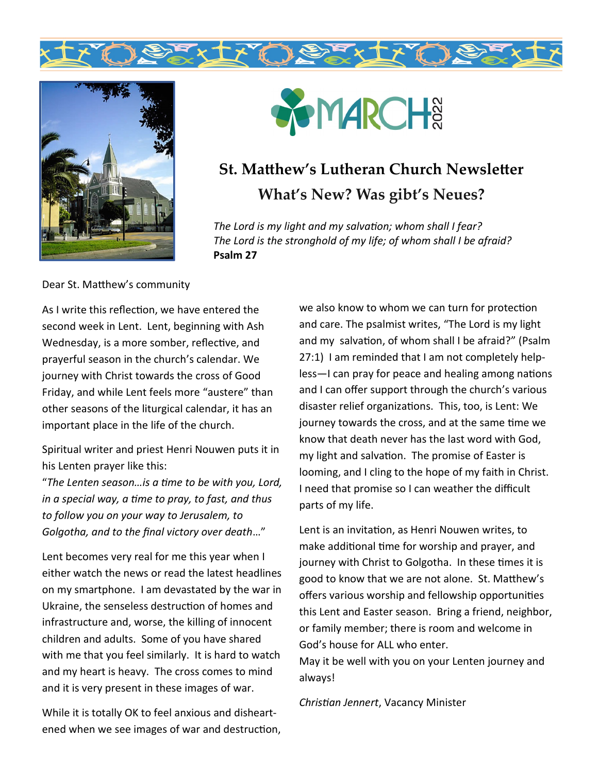





# **St. Matthew's Lutheran Church Newsletter What's New? Was gibt's Neues?**

*The Lord is my light and my salvation; whom shall I fear? The Lord is the stronghold of my life; of whom shall I be afraid?*  **Psalm 27**

Dear St. Matthew's community

As I write this reflection, we have entered the second week in Lent. Lent, beginning with Ash Wednesday, is a more somber, reflective, and prayerful season in the church's calendar. We journey with Christ towards the cross of Good Friday, and while Lent feels more "austere" than other seasons of the liturgical calendar, it has an important place in the life of the church.

Spiritual writer and priest Henri Nouwen puts it in his Lenten prayer like this:

"*The Lenten season…is a time to be with you, Lord, in a special way, a time to pray, to fast, and thus to follow you on your way to Jerusalem, to Golgotha, and to the final victory over death*…"

Lent becomes very real for me this year when I either watch the news or read the latest headlines on my smartphone. I am devastated by the war in Ukraine, the senseless destruction of homes and infrastructure and, worse, the killing of innocent children and adults. Some of you have shared with me that you feel similarly. It is hard to watch and my heart is heavy. The cross comes to mind and it is very present in these images of war.

While it is totally OK to feel anxious and disheartened when we see images of war and destruction, we also know to whom we can turn for protection and care. The psalmist writes, "The Lord is my light and my salvation, of whom shall I be afraid?" (Psalm 27:1) I am reminded that I am not completely helpless—I can pray for peace and healing among nations and I can offer support through the church's various disaster relief organizations. This, too, is Lent: We journey towards the cross, and at the same time we know that death never has the last word with God, my light and salvation. The promise of Easter is looming, and I cling to the hope of my faith in Christ. I need that promise so I can weather the difficult parts of my life.

Lent is an invitation, as Henri Nouwen writes, to make additional time for worship and prayer, and journey with Christ to Golgotha. In these times it is good to know that we are not alone. St. Matthew's offers various worship and fellowship opportunities this Lent and Easter season. Bring a friend, neighbor, or family member; there is room and welcome in God's house for ALL who enter.

May it be well with you on your Lenten journey and always!

*Christian Jennert*, Vacancy Minister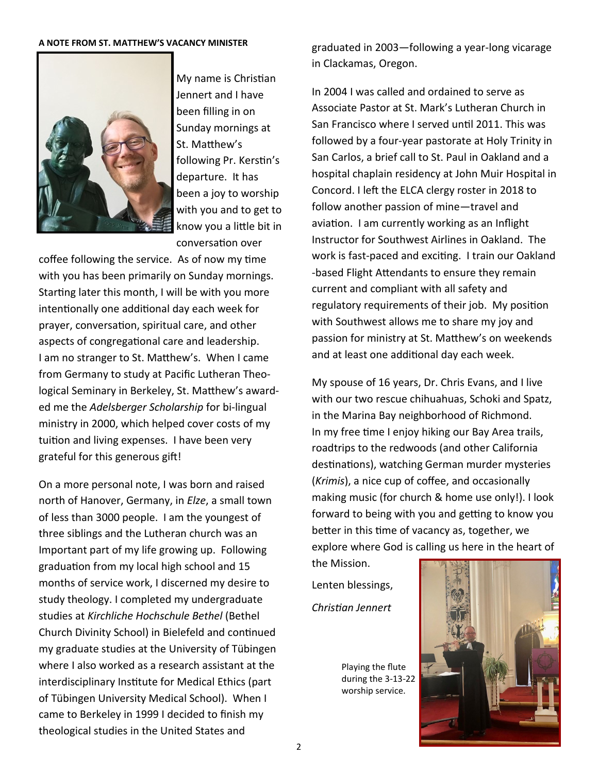#### **A NOTE FROM ST. MATTHEW'S VACANCY MINISTER**



My name is Christian Jennert and I have been filling in on Sunday mornings at St. Matthew's following Pr. Kerstin's departure. It has been a joy to worship with you and to get to know you a little bit in conversation over

coffee following the service. As of now my time with you has been primarily on Sunday mornings. Starting later this month, I will be with you more intentionally one additional day each week for prayer, conversation, spiritual care, and other aspects of congregational care and leadership. I am no stranger to St. Matthew's. When I came from Germany to study at Pacific Lutheran Theological Seminary in Berkeley, St. Matthew's awarded me the *Adelsberger Scholarship* for bi-lingual ministry in 2000, which helped cover costs of my tuition and living expenses. I have been very grateful for this generous gift!

On a more personal note, I was born and raised north of Hanover, Germany, in *Elze*, a small town of less than 3000 people. I am the youngest of three siblings and the Lutheran church was an Important part of my life growing up. Following graduation from my local high school and 15 months of service work, I discerned my desire to study theology. I completed my undergraduate studies at *Kirchliche Hochschule Bethel* (Bethel Church Divinity School) in Bielefeld and continued my graduate studies at the University of Tübingen where I also worked as a research assistant at the interdisciplinary Institute for Medical Ethics (part of Tübingen University Medical School). When I came to Berkeley in 1999 I decided to finish my theological studies in the United States and

graduated in 2003—following a year-long vicarage in Clackamas, Oregon.

In 2004 I was called and ordained to serve as Associate Pastor at St. Mark's Lutheran Church in San Francisco where I served until 2011. This was followed by a four-year pastorate at Holy Trinity in San Carlos, a brief call to St. Paul in Oakland and a hospital chaplain residency at John Muir Hospital in Concord. I left the ELCA clergy roster in 2018 to follow another passion of mine—travel and aviation. I am currently working as an Inflight Instructor for Southwest Airlines in Oakland. The work is fast-paced and exciting. I train our Oakland -based Flight Attendants to ensure they remain current and compliant with all safety and regulatory requirements of their job. My position with Southwest allows me to share my joy and passion for ministry at St. Matthew's on weekends and at least one additional day each week.

My spouse of 16 years, Dr. Chris Evans, and I live with our two rescue chihuahuas, Schoki and Spatz, in the Marina Bay neighborhood of Richmond. In my free time I enjoy hiking our Bay Area trails, roadtrips to the redwoods (and other California destinations), watching German murder mysteries (*Krimis*), a nice cup of coffee, and occasionally making music (for church & home use only!). I look forward to being with you and getting to know you better in this time of vacancy as, together, we explore where God is calling us here in the heart of

Lenten blessings, *Christian Jennert*

the Mission.

Playing the flute during the 3-13-22 worship service.

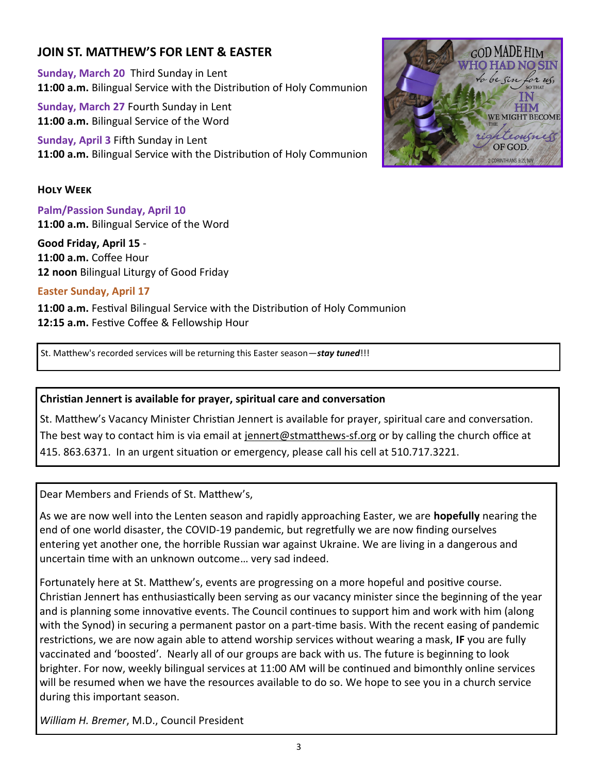## **JOIN ST. MATTHEW'S FOR LENT & EASTER**

**Sunday, March 20** Third Sunday in Lent **11:00 a.m.** Bilingual Service with the Distribution of Holy Communion

**Sunday, March 27** Fourth Sunday in Lent **11:00 a.m.** Bilingual Service of the Word

**Sunday, April 3** Fifth Sunday in Lent **11:00 a.m.** Bilingual Service with the Distribution of Holy Communion

#### **Holy Week**

**Palm/Passion Sunday, April 10 11:00 a.m.** Bilingual Service of the Word

**Good Friday, April 15** - **11:00 a.m.** Coffee Hour **12 noon** Bilingual Liturgy of Good Friday

#### **Easter Sunday, April 17**

**11:00 a.m.** Festival Bilingual Service with the Distribution of Holy Communion **12:15 a.m.** Festive Coffee & Fellowship Hour

St. Matthew's recorded services will be returning this Easter season—*stay tuned*!!!

#### **Christian Jennert is available for prayer, spiritual care and conversation**

St. Matthew's Vacancy Minister Christian Jennert is available for prayer, spiritual care and conversation. The best way to contact him is via email at [jennert@stmatthews](mailto:jennert@stmatthews-sf.org)-sf.org or by calling the church office at 415. 863.6371. In an urgent situation or emergency, please call his cell at 510.717.3221.

Dear Members and Friends of St. Matthew's,

As we are now well into the Lenten season and rapidly approaching Easter, we are **hopefully** nearing the end of one world disaster, the COVID-19 pandemic, but regretfully we are now finding ourselves entering yet another one, the horrible Russian war against Ukraine. We are living in a dangerous and uncertain time with an unknown outcome… very sad indeed.

Fortunately here at St. Matthew's, events are progressing on a more hopeful and positive course. Christian Jennert has enthusiastically been serving as our vacancy minister since the beginning of the year and is planning some innovative events. The Council continues to support him and work with him (along with the Synod) in securing a permanent pastor on a part-time basis. With the recent easing of pandemic restrictions, we are now again able to attend worship services without wearing a mask, **IF** you are fully vaccinated and 'boosted'. Nearly all of our groups are back with us. The future is beginning to look brighter. For now, weekly bilingual services at 11:00 AM will be continued and bimonthly online services will be resumed when we have the resources available to do so. We hope to see you in a church service during this important season.

*William H. Bremer*, M.D., Council President